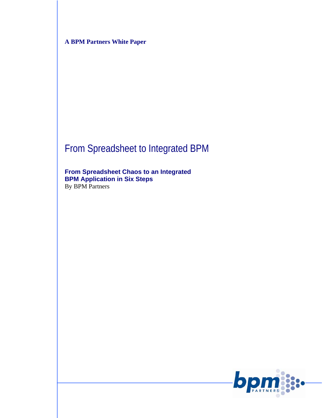**A BPM Partners White Paper** 

# From Spreadsheet to Integrated BPM

**From Spreadsheet Chaos to an Integrated BPM Application in Six Steps**  By BPM Partners

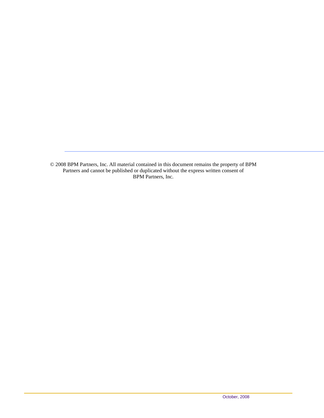© 2008 BPM Partners, Inc. All material contained in this document remains the property of BPM Partners and cannot be published or duplicated without the express written consent of BPM Partners, Inc.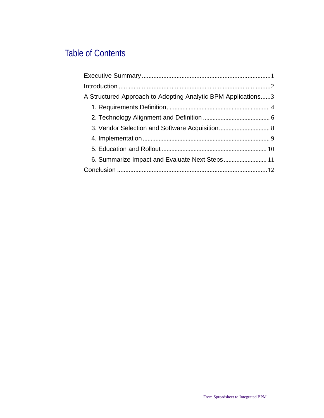### Table of Contents

| A Structured Approach to Adopting Analytic BPM Applications3 |
|--------------------------------------------------------------|
|                                                              |
|                                                              |
|                                                              |
|                                                              |
|                                                              |
| 6. Summarize Impact and Evaluate Next Steps 11               |
|                                                              |
|                                                              |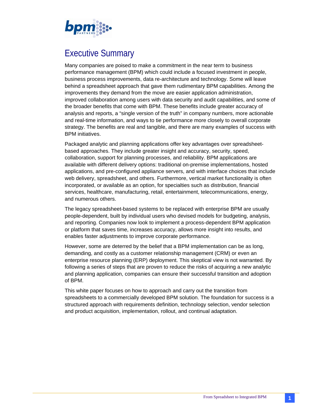

### Executive Summary

Many companies are poised to make a commitment in the near term to business performance management (BPM) which could include a focused investment in people, business process improvements, data re-architecture and technology. Some will leave behind a spreadsheet approach that gave them rudimentary BPM capabilities. Among the improvements they demand from the move are easier application administration, improved collaboration among users with data security and audit capabilities, and some of the broader benefits that come with BPM. These benefits include greater accuracy of analysis and reports, a "single version of the truth" in company numbers, more actionable and real-time information, and ways to tie performance more closely to overall corporate strategy. The benefits are real and tangible, and there are many examples of success with BPM initiatives.

Packaged analytic and planning applications offer key advantages over spreadsheetbased approaches. They include greater insight and accuracy, security, speed, collaboration, support for planning processes, and reliability. BPM applications are available with different delivery options: traditional on-premise implementations, hosted applications, and pre-configured appliance servers, and with interface choices that include web delivery, spreadsheet, and others. Furthermore, vertical market functionality is often incorporated, or available as an option, for specialties such as distribution, financial services, healthcare, manufacturing, retail, entertainment, telecommunications, energy, and numerous others.

The legacy spreadsheet-based systems to be replaced with enterprise BPM are usually people-dependent, built by individual users who devised models for budgeting, analysis, and reporting. Companies now look to implement a process-dependent BPM application or platform that saves time, increases accuracy, allows more insight into results, and enables faster adjustments to improve corporate performance.

However, some are deterred by the belief that a BPM implementation can be as long, demanding, and costly as a customer relationship management (CRM) or even an enterprise resource planning (ERP) deployment. This skeptical view is not warranted. By following a series of steps that are proven to reduce the risks of acquiring a new analytic and planning application, companies can ensure their successful transition and adoption of BPM.

This white paper focuses on how to approach and carry out the transition from spreadsheets to a commercially developed BPM solution. The foundation for success is a structured approach with requirements definition, technology selection, vendor selection and product acquisition, implementation, rollout, and continual adaptation.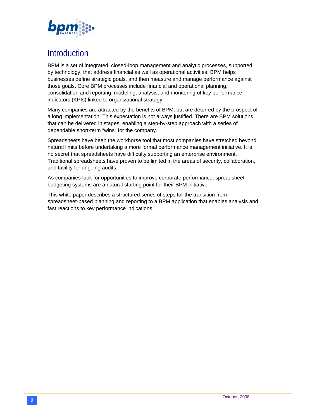

### Introduction

BPM is a set of integrated, closed-loop management and analytic processes, supported by technology, that address financial as well as operational activities. BPM helps businesses define strategic goals, and then measure and manage performance against those goals. Core BPM processes include financial and operational planning, consolidation and reporting, modeling, analysis, and monitoring of key performance indicators (KPIs) linked to organizational strategy.

Many companies are attracted by the benefits of BPM, but are deterred by the prospect of a long implementation. This expectation is not always justified. There are BPM solutions that can be delivered in stages, enabling a step-by-step approach with a series of dependable short-term "wins" for the company.

Spreadsheets have been the workhorse tool that most companies have stretched beyond natural limits before undertaking a more formal performance management initiative. It is no secret that spreadsheets have difficulty supporting an enterprise environment. Traditional spreadsheets have proven to be limited in the areas of security, collaboration, and facility for ongoing audits.

As companies look for opportunities to improve corporate performance, spreadsheet budgeting systems are a natural starting point for their BPM initiative.

This white paper describes a structured series of steps for the transition from spreadsheet-based planning and reporting to a BPM application that enables analysis and fast reactions to key performance indications.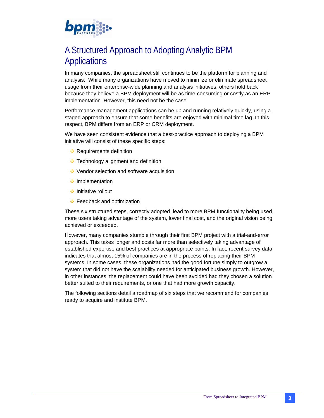

### A Structured Approach to Adopting Analytic BPM Applications

In many companies, the spreadsheet still continues to be the platform for planning and analysis. While many organizations have moved to minimize or eliminate spreadsheet usage from their enterprise-wide planning and analysis initiatives, others hold back because they believe a BPM deployment will be as time-consuming or costly as an ERP implementation. However, this need not be the case.

Performance management applications can be up and running relatively quickly, using a staged approach to ensure that some benefits are enjoyed with minimal time lag. In this respect, BPM differs from an ERP or CRM deployment.

We have seen consistent evidence that a best-practice approach to deploying a BPM initiative will consist of these specific steps:

- **EXA Requirements definition**
- $\div$  Technology alignment and definition
- ◆ Vendor selection and software acquisition
- **Implementation**
- **Initiative rollout**
- Feedback and optimization

These six structured steps, correctly adopted, lead to more BPM functionality being used, more users taking advantage of the system, lower final cost, and the original vision being achieved or exceeded.

However, many companies stumble through their first BPM project with a trial-and-error approach. This takes longer and costs far more than selectively taking advantage of established expertise and best practices at appropriate points. In fact, recent survey data indicates that almost 15% of companies are in the process of replacing their BPM systems. In some cases, these organizations had the good fortune simply to outgrow a system that did not have the scalability needed for anticipated business growth. However, in other instances, the replacement could have been avoided had they chosen a solution better suited to their requirements, or one that had more growth capacity.

The following sections detail a roadmap of six steps that we recommend for companies ready to acquire and institute BPM.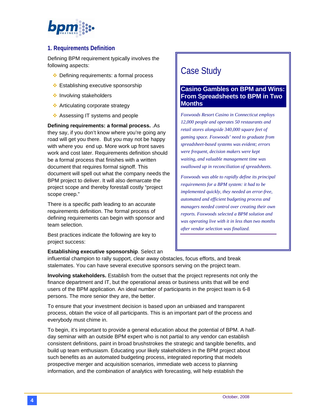# bpm

### **1. Requirements Definition**

Defining BPM requirement typically involves the following aspects:

- **Ex** Defining requirements: a formal process
- **Establishing executive sponsorship**
- **Involving stakeholders**
- **Articulating corporate strategy**
- ❖ Assessing IT systems and people

**Defining requirements: a formal process.** .As they say, if you don't know where you're going any road will get you there. But you may not be happy with where you end up. More work up front saves work and cost later. Requirements definition should be a formal process that finishes with a written document that requires formal signoff. This document will spell out what the company needs the BPM project to deliver. It will also demarcate the project scope and thereby forestall costly "project scope creep."

There is a specific path leading to an accurate requirements definition. The formal process of defining requirements can begin with sponsor and team selection.

Best practices indicate the following are key to project success:

# Case Study

### **Casino Gambles on BPM and Wins: From Spreadsheets to BPM in Two Months**

*Foxwoods Resort Casino in Connecticut employs 12,000 people and operates 50 restaurants and retail stores alongside 340,000 square feet of gaming space. Foxwoods' need to graduate from spreadsheet-based systems was evident; errors were frequent, decision makers were kept waiting, and valuable management time was swallowed up in reconciliation of spreadsheets.* 

*Foxwoods was able to rapidly define its principal requirements for a BPM system: it had to be implemented quickly, they needed an error-free, automated and efficient budgeting process and managers needed control over creating their own reports. Foxwoods selected a BPM solution and was operating live with it in less than two months after vendor selection was finalized.* 

#### **Establishing executive sponsorship**. Select an

influential champion to rally support, clear away obstacles, focus efforts, and break stalemates. You can have several executive sponsors serving on the project team.

**Involving stakeholders.** Establish from the outset that the project represents not only the finance department and IT, but the operational areas or business units that will be end users of the BPM application. An ideal number of participants in the project team is 6-8 persons. The more senior they are, the better.

To ensure that your investment decision is based upon an unbiased and transparent process, obtain the voice of all participants. This is an important part of the process and everybody must chime in.

To begin, it's important to provide a general education about the potential of BPM. A halfday seminar with an outside BPM expert who is not partial to any vendor can establish consistent definitions, paint in broad brushstrokes the strategic and tangible benefits, and build up team enthusiasm. Educating your likely stakeholders in the BPM project about such benefits as an automated budgeting process, integrated reporting that models prospective merger and acquisition scenarios, immediate web access to planning information, and the combination of analytics with forecasting, will help establish the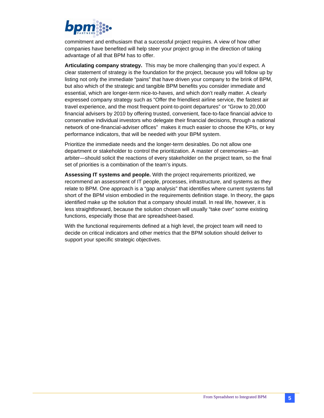

commitment and enthusiasm that a successful project requires. A view of how other companies have benefited will help steer your project group in the direction of taking advantage of all that BPM has to offer.

**Articulating company strategy.** This may be more challenging than you'd expect. A clear statement of strategy is the foundation for the project, because you will follow up by listing not only the immediate "pains" that have driven your company to the brink of BPM, but also which of the strategic and tangible BPM benefits you consider immediate and essential, which are longer-term nice-to-haves, and which don't really matter. A clearly expressed company strategy such as "Offer the friendliest airline service, the fastest air travel experience, and the most frequent point-to-point departures" or "Grow to 20,000 financial advisers by 2010 by offering trusted, convenient, face-to-face financial advice to conservative individual investors who delegate their financial decisions, through a national network of one-financial-adviser offices" makes it much easier to choose the KPIs, or key performance indicators, that will be needed with your BPM system.

Prioritize the immediate needs and the longer-term desirables. Do not allow one department or stakeholder to control the prioritization. A master of ceremonies—an arbiter—should solicit the reactions of every stakeholder on the project team, so the final set of priorities is a combination of the team's inputs.

**Assessing IT systems and people.** With the project requirements prioritized, we recommend an assessment of IT people, processes, infrastructure, and systems as they relate to BPM. One approach is a "gap analysis" that identifies where current systems fall short of the BPM vision embodied in the requirements definition stage. In theory, the gaps identified make up the solution that a company should install. In real life, however, it is less straightforward, because the solution chosen will usually "take over" some existing functions, especially those that are spreadsheet-based.

With the functional requirements defined at a high level, the project team will need to decide on critical indicators and other metrics that the BPM solution should deliver to support your specific strategic objectives.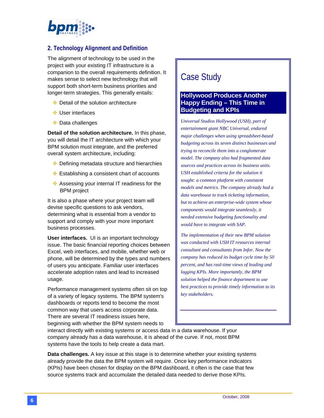

### **2. Technology Alignment and Definition**

The alignment of technology to be used in the project with your existing IT infrastructure is a companion to the overall requirements definition. It makes sense to select new technology that will support both short-term business priorities and longer-term strategies. This generally entails:

- $\div$  Detail of the solution architecture
- **↓**User interfaces
- $\cdot$  Data challenges

**Detail of the solution architecture.** In this phase, you will detail the IT architecture with which your BPM solution must integrate, and the preferred overall system architecture, including:

- **EXECUTE:** Defining metadata structure and hierarchies
- $\cdot$  Establishing a consistent chart of accounts
- ❖ Assessing your internal IT readiness for the BPM project

It is also a phase where your project team will devise specific questions to ask vendors, determining what is essential from a vendor to support and comply with your more important business processes.

**User interfaces.** UI is an important technology issue. The basic financial reporting choices between Excel, web interfaces, and mobile, whether web or phone, will be determined by the types and numbers of users you anticipate. Familiar user interfaces accelerate adoption rates and lead to increased usage.

Performance management systems often sit on top of a variety of legacy systems. The BPM system's dashboards or reports tend to become the most common way that users access corporate data. There are several IT readiness issues here, beginning with whether the BPM system needs to

### Case Study

#### **Hollywood Produces Another Happy Ending – This Time in Budgeting and KPIs**

*Universal Studios Hollywood (USH), part of entertainment giant NBC Universal, endured major challenges when using spreadsheet-based budgeting across its seven distinct businesses and trying to reconcile them into a conglomerate model. The company also had fragmented data sources and practices across its business units. USH established criteria for the solution it sought: a common platform with consistent models and metrics. The company already had a data warehouse to track ticketing information, but to achieve an enterprise-wide system whose components would integrate seamlessly, it needed extensive budgeting functionality and would have to integrate with SAP.* 

*The implementation of their new BPM solution was conducted with USH IT resources internal consultant and consultants from Infor. Now the company has reduced its budget cycle time by 50 percent, and has real-time views of leading and lagging KPIs. More importantly, the BPM solution helped the finance department to use best practices to provide timely information to its key stakeholders.* 

interact directly with existing systems or access data in a data warehouse. If your company already has a data warehouse, it is ahead of the curve. If not, most BPM systems have the tools to help create a data mart.

**Data challenges.** A key issue at this stage is to determine whether your existing systems already provide the data the BPM system will require. Once key performance indicators (KPIs) have been chosen for display on the BPM dashboard, it often is the case that few source systems track and accumulate the detailed data needed to derive those KPIs.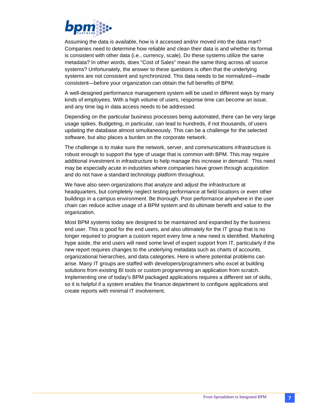

Assuming the data is available, how is it accessed and/or moved into the data mart? Companies need to determine how reliable and clean their data is and whether its format is consistent with other data (i.e., currency, scale). Do these systems utilize the same metadata? In other words, does "Cost of Sales" mean the same thing across all source systems? Unfortunately, the answer to these questions is often that the underlying systems are not consistent and synchronized. This data needs to be normalized—made consistent—before your organization can obtain the full benefits of BPM.

A well-designed performance management system will be used in different ways by many kinds of employees. With a high volume of users, response time can become an issue, and any time lag in data access needs to be addressed.

Depending on the particular business processes being automated, there can be very large usage spikes. Budgeting, in particular, can lead to hundreds, if not thousands, of users updating the database almost simultaneously. This can be a challenge for the selected software, but also places a burden on the corporate network.

The challenge is to make sure the network, server, and communications infrastructure is robust enough to support the type of usage that is common with BPM. This may require additional investment in infrastructure to help manage this increase in demand. This need may be especially acute in industries where companies have grown through acquisition and do not have a standard technology platform throughout.

We have also seen organizations that analyze and adjust the infrastructure at headquarters, but completely neglect testing performance at field locations or even other buildings in a campus environment. Be thorough. Poor performance anywhere in the user chain can reduce active usage of a BPM system and its ultimate benefit and value to the organization.

Most BPM systems today are designed to be maintained and expanded by the business end user. This is good for the end users, and also ultimately for the IT group that is no longer required to program a custom report every time a new need is identified. Marketing hype aside, the end users will need some level of expert support from IT, particularly if the new report requires changes to the underlying metadata such as charts of accounts, organizational hierarchies, and data categories. Here is where potential problems can arise. Many IT groups are staffed with developers/programmers who excel at building solutions from existing BI tools or custom programming an application from scratch. Implementing one of today's BPM packaged applications requires a different set of skills, so it is helpful if a system enables the finance department to configure applications and create reports with minimal IT involvement.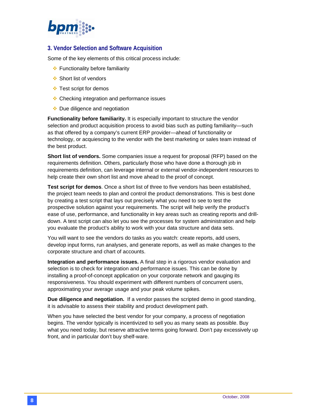

### **3. Vendor Selection and Software Acquisition**

Some of the key elements of this critical process include:

- **E**unctionality before familiarity
- **Short list of vendors**
- Test script for demos
- Checking integration and performance issues
- ◆ Due diligence and negotiation

**Functionality before familiarity.** It is especially important to structure the vendor selection and product acquisition process to avoid bias such as putting familiarity—such as that offered by a company's current ERP provider—ahead of functionality or technology, or acquiescing to the vendor with the best marketing or sales team instead of the best product.

**Short list of vendors.** Some companies issue a request for proposal (RFP) based on the requirements definition. Others, particularly those who have done a thorough job in requirements definition, can leverage internal or external vendor-independent resources to help create their own short list and move ahead to the proof of concept.

**Test script for demos**. Once a short list of three to five vendors has been established, the project team needs to plan and control the product demonstrations. This is best done by creating a test script that lays out precisely what you need to see to test the prospective solution against your requirements. The script will help verify the product's ease of use, performance, and functionality in key areas such as creating reports and drilldown. A test script can also let you see the processes for system administration and help you evaluate the product's ability to work with your data structure and data sets.

You will want to see the vendors do tasks as you watch: create reports, add users, develop input forms, run analyses, and generate reports, as well as make changes to the corporate structure and chart of accounts.

**Integration and performance issues.** A final step in a rigorous vendor evaluation and selection is to check for integration and performance issues. This can be done by installing a proof-of-concept application on your corporate network and gauging its responsiveness. You should experiment with different numbers of concurrent users, approximating your average usage and your peak volume spikes.

**Due diligence and negotiation.** If a vendor passes the scripted demo in good standing, it is advisable to assess their stability and product development path.

When you have selected the best vendor for your company, a process of negotiation begins. The vendor typically is incentivized to sell you as many seats as possible. Buy what you need today, but reserve attractive terms going forward. Don't pay excessively up front, and in particular don't buy shelf-ware.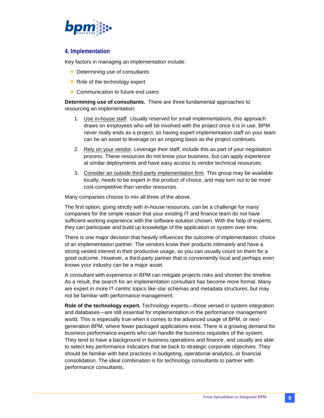

#### **4. Implementation**

Key factors in managing an implementation include:

- **EX** Determining use of consultants
- Role of the technology expert
- **♦ Communication to future end users**

**Determining use of consultants.** There are three fundamental approaches to resourcing an implementation:

- 1. Use in-house staff. Usually reserved for small implementations, this approach draws on employees who will be involved with the project once it is in use. BPM never really ends as a project, so having expert implementation staff on your team can be an asset to leverage on an ongoing basis as the project continues.
- 2. Rely on your vendor. Leverage their staff; include this as part of your negotiation process. These resources do not know your business, but can apply experience at similar deployments and have easy access to vendor technical resources.
- 3. Consider an outside third-party implementation firm. This group may be available locally, needs to be expert in the product of choice, and may turn out to be more cost-competitive than vendor resources.

Many companies choose to mix all three of the above.

The first option, going strictly with in-house resources, can be a challenge for many companies for the simple reason that your existing IT and finance team do not have sufficient working experience with the software solution chosen. With the help of experts, they can participate and build up knowledge of the application or system over time.

There is one major decision that heavily influences the outcome of implementation: choice of an implementation partner. The vendors know their products intimately and have a strong vested interest in their productive usage, so you can usually count on them for a good outcome. However, a third-party partner that is conveniently local and perhaps even knows your industry can be a major asset.

A consultant with experience in BPM can mitigate projects risks and shorten the timeline. As a result, the search for an implementation consultant has become more formal. Many are expert in more IT-centric topics like star schemas and metadata structures, but may not be familiar with performance management.

**Role of the technology expert.** Technology experts—those versed in system integration and databases—are still essential for implementation in the performance management world. This is especially true when it comes to the advanced usage of BPM, or nextgeneration BPM, where fewer packaged applications exist. There is a growing demand for business performance experts who can handle the business requisites of the system. They tend to have a background in business operations and finance, and usually are able to select key performance indicators that tie back to strategic corporate objectives. They should be familiar with best practices in budgeting, operational analytics, or financial consolidation. The ideal combination is for technology consultants to partner with performance consultants.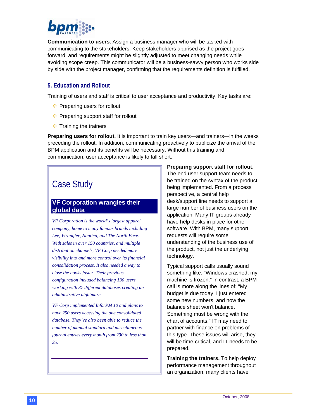

**Communication to users.** Assign a business manager who will be tasked with communicating to the stakeholders. Keep stakeholders apprised as the project goes forward, and requirements might be slightly adjusted to meet changing needs while avoiding scope creep. This communicator will be a business-savvy person who works side by side with the project manager, confirming that the requirements definition is fulfilled.

#### **5. Education and Rollout**

Training of users and staff is critical to user acceptance and productivity. Key tasks are:

- $\cdot \cdot$  Preparing users for rollout
- ◆ Preparing support staff for rollout
- $\div$  Training the trainers

**Preparing users for rollout.** It is important to train key users—and trainers—in the weeks preceding the rollout. In addition, communicating proactively to publicize the arrival of the BPM application and its benefits will be necessary. Without this training and communication, user acceptance is likely to fall short.

# Case Study

### **VF Corporation wrangles their global data**

*VF Corporation is the world's largest apparel company, home to many famous brands including Lee, Wrangler, Nautica, and The North Face. With sales in over 150 countries, and multiple distribution channels, VF Corp needed more visibility into and more control over its financial consolidation process. It also needed a way to close the books faster. Their previous configuration included balancing 130 users working with 37 different databases creating an administrative nightmare.* 

*VF Corp implemented InforPM 10 and plans to have 250 users accessing the one consolidated database. They've also been able to reduce the number of manual standard and miscellaneous journal entries every month from 230 to less than 25.* 

### **Preparing support staff for rollout**.

The end user support team needs to be trained on the syntax of the product being implemented. From a process perspective, a central help desk/support line needs to support a large number of business users on the application. Many IT groups already have help desks in place for other software. With BPM, many support requests will require some understanding of the business use of the product, not just the underlying technology.

Typical support calls usually sound something like: "Windows crashed, my machine is frozen." In contrast, a BPM call is more along the lines of: "My budget is due today, I just entered some new numbers, and now the balance sheet won't balance. Something must be wrong with the chart of accounts." IT may need to partner with finance on problems of this type. These issues will arise, they will be time-critical, and IT needs to be prepared.

**Training the trainers.** To help deploy performance management throughout an organization, many clients have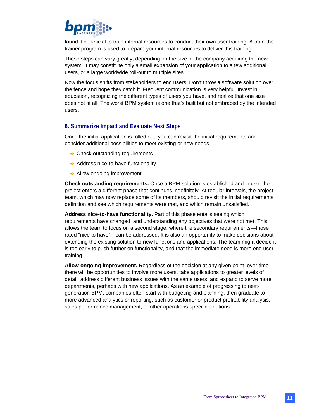

found it beneficial to train internal resources to conduct their own user training. A train-thetrainer program is used to prepare your internal resources to deliver this training.

These steps can vary greatly, depending on the size of the company acquiring the new system. It may constitute only a small expansion of your application to a few additional users, or a large worldwide roll-out to multiple sites.

Now the focus shifts from stakeholders to end users. Don't throw a software solution over the fence and hope they catch it. Frequent communication is very helpful. Invest in education, recognizing the different types of users you have, and realize that one size does not fit all. The worst BPM system is one that's built but not embraced by the intended users.

#### **6. Summarize Impact and Evaluate Next Steps**

Once the initial application is rolled out, you can revisit the initial requirements and consider additional possibilities to meet existing or new needs.

- **❖ Check outstanding requirements**
- Address nice-to-have functionality
- **Allow ongoing improvement**

**Check outstanding requirements.** Once a BPM solution is established and in use, the project enters a different phase that continues indefinitely. At regular intervals, the project team, which may now replace some of its members, should revisit the initial requirements definition and see which requirements were met, and which remain unsatisfied.

**Address nice-to-have functionality.** Part of this phase entails seeing which requirements have changed, and understanding any objectives that were not met. This allows the team to focus on a second stage, where the secondary requirements—those rated "nice to have"—can be addressed. It is also an opportunity to make decisions about extending the existing solution to new functions and applications. The team might decide it is too early to push further on functionality, and that the immediate need is more end user training.

**Allow ongoing improvement.** Regardless of the decision at any given point, over time there will be opportunities to involve more users, take applications to greater levels of detail, address different business issues with the same users, and expand to serve more departments, perhaps with new applications. As an example of progressing to nextgeneration BPM, companies often start with budgeting and planning, then graduate to more advanced analytics or reporting, such as customer or product profitability analysis, sales performance management, or other operations-specific solutions.